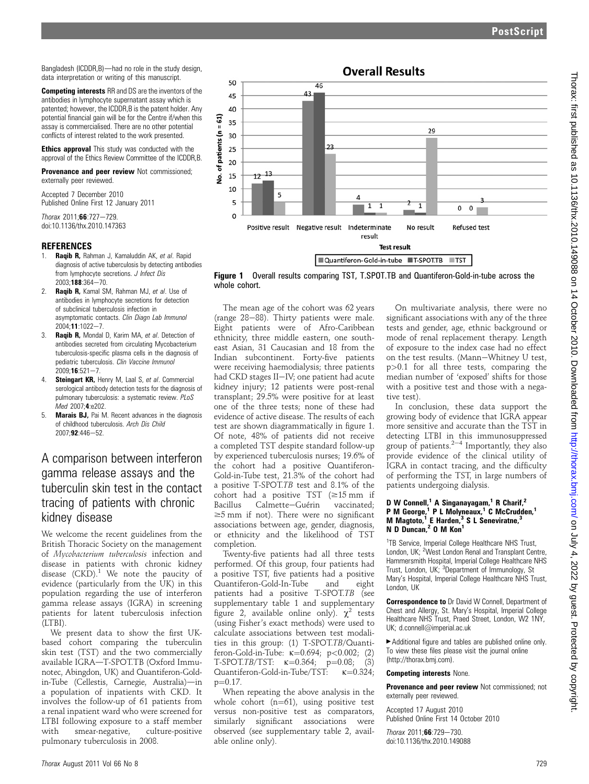on July 4, 2022 by guest. Protected by copyright. <http://thorax.bmj.com/> Thorax: first published as 10.1136/thx.2010.149088 on 14 October 2010. Downloaded from

Bangladesh (ICDDR,B)-had no role in the study design, data interpretation or writing of this manuscript.

Competing interests RR and DS are the inventors of the antibodies in lymphocyte supernatant assay which is patented; however, the ICDDR,B is the patent holder. Any potential financial gain will be for the Centre if/when this assay is commercialised. There are no other potential conflicts of interest related to the work presented.

**Ethics approval** This study was conducted with the approval of the Ethics Review Committee of the ICDDR,B.

Provenance and peer review Not commissioned; externally peer reviewed.

Accepted 7 December 2010 Published Online First 12 January 2011

Thorax 2011;66:727-729 doi:10.1136/thx.2010.147363

#### **REFERENCES**

- Raqib R, Rahman J, Kamaluddin AK, et al. Rapid diagnosis of active tuberculosis by detecting antibodies from lymphocyte secretions. J Infect Dis  $2003:188:364 - 70.$
- 2. Raqib R, Kamal SM, Rahman MJ, et al. Use of antibodies in lymphocyte secretions for detection of subclinical tuberculosis infection in asymptomatic contacts. Clin Diagn Lab Immunol  $2004 \cdot 11 \cdot 1022 - 7$
- 3. Raqib R, Mondal D, Karim MA, et al. Detection of antibodies secreted from circulating Mycobacterium tuberculosis-specific plasma cells in the diagnosis of pediatric tuberculosis. Clin Vaccine Immunol  $2009:16:521 - 7$
- 4. **Steingart KR, Henry M, Laal S, et al. Commercial** serological antibody detection tests for the diagnosis of pulmonary tuberculosis: a systematic review. PLoS Med 2007;4:e202.
- 5. Marais BJ, Pai M. Recent advances in the diagnosis of childhood tuberculosis. Arch Dis Child  $2007.92.446 - 52.$

# A comparison between interferon gamma release assays and the tuberculin skin test in the contact tracing of patients with chronic kidney disease

We welcome the recent guidelines from the British Thoracic Society on the management of Mycobacterium tuberculosis infection and disease in patients with chronic kidney disease  $(CKD)^1$ . We note the paucity of evidence (particularly from the UK) in this population regarding the use of interferon gamma release assays (IGRA) in screening patients for latent tuberculosis infection (LTBI).

We present data to show the first UKbased cohort comparing the tuberculin skin test (TST) and the two commercially available IGRA-T-SPOT.TB (Oxford Immunotec, Abingdon, UK) and Quantiferon-Goldin-Tube (Cellestis, Carnegie, Australia)-in a population of inpatients with CKD. It involves the follow-up of 61 patients from a renal inpatient ward who were screened for LTBI following exposure to a staff member with smear-negative, culture-positive pulmonary tuberculosis in 2008.



Figure 1 Overall results comparing TST, T.SPOT.TB and Quantiferon-Gold-in-tube across the whole cohort.

The mean age of the cohort was 62 years (range  $28-88$ ). Thirty patients were male. Eight patients were of Afro-Caribbean ethnicity, three middle eastern, one southeast Asian, 31 Caucasian and 18 from the Indian subcontinent. Forty-five patients were receiving haemodialysis; three patients had CKD stages II-IV; one patient had acute kidney injury; 12 patients were post-renal transplant; 29.5% were positive for at least one of the three tests; none of these had evidence of active disease. The results of each test are shown diagrammatically in figure 1. Of note, 48% of patients did not receive a completed TST despite standard follow-up by experienced tuberculosis nurses; 19.6% of the cohort had a positive Quantiferon-Gold-in-Tube test, 21.3% of the cohort had a positive T-SPOT.TB test and 8.1% of the cohort had a positive TST ( $\geq 15$  mm if<br>Bacillus Calmette–Guérin vaccinated: Calmette-Guérin  $\geq$ 5 mm if not). There were no significant associations between age, gender, diagnosis, or ethnicity and the likelihood of TST completion.

Twenty-five patients had all three tests performed. Of this group, four patients had a positive TST, five patients had a positive Quantiferon-Gold-In-Tube and eight patients had a positive T-SPOT.TB (see supplementary table 1 and supplementary figure 2, available online only).  $\chi^2$  tests (using Fisher's exact methods) were used to calculate associations between test modalities in this group: (1) T-SPOT.TB/Quanti-<br>feron-Gold-in-Tube:  $\kappa$ =0.694; p<0.002; (2) feron-Gold-in-Tube: <sup>k</sup>¼0.694; p<0.002; (2)  $T$ -SPOT. $TB/TST:$   $\kappa$ =0.364;  $p$ =0.08; (3)<br>Quantiferon-Cold-in-Tube/TST:  $\kappa$  –0.324; Quantiferon-Gold-in-Tube/TST:  $\kappa=0.324$ ;  $p=0.17$ .

When repeating the above analysis in the whole cohort  $(n=61)$ , using positive test versus non-positive test as comparators,<br>similarly significant associations were significant associations observed (see supplementary table 2, available online only).

On multivariate analysis, there were no significant associations with any of the three tests and gender, age, ethnic background or mode of renal replacement therapy. Length of exposure to the index case had no effect on the test results. (Mann-Whitney U test, p>0.1 for all three tests, comparing the median number of 'exposed' shifts for those with a positive test and those with a negative test).

In conclusion, these data support the growing body of evidence that IGRA appear more sensitive and accurate than the TST in detecting LTBI in this immunosuppressed group of patients. $2^{-4}$  Importantly, they also provide evidence of the clinical utility of IGRA in contact tracing, and the difficulty of performing the TST, in large numbers of patients undergoing dialysis.

#### D W Connell,<sup>1</sup> A Singanayagam,<sup>1</sup> R Charif,<sup>2</sup> P M George,<sup>1</sup> P L Molyneaux,<sup>1</sup> C McCrudden,<sup>1</sup> M Magtoto,<sup>1</sup> E Harden,<sup>3</sup> S L Seneviratne,<sup>3</sup> N D Duncan,<sup>2</sup> O M Kon<sup>1</sup>

<sup>1</sup>TB Service, Imperial College Healthcare NHS Trust, London, UK; <sup>2</sup>West London Renal and Transplant Centre, Hammersmith Hospital, Imperial College Healthcare NHS Trust, London, UK; <sup>3</sup>Department of Immunology, St Mary's Hospital, Imperial College Healthcare NHS Trust, London, UK

Correspondence to Dr David W Connell, Department of Chest and Allergy, St. Mary's Hospital, Imperial College Healthcare NHS Trust, Praed Street, London, W2 1NY, UK; d.connell@imperial.ac.uk

 $\blacktriangleright$  Additional figure and tables are published online only. To view these files please visit the journal online (http://thorax.bmj.com).

#### Competing interests None.

Provenance and peer review Not commissioned; not externally peer reviewed.

Accepted 17 August 2010 Published Online First 14 October 2010

 $Thorax 2011:66:729-730$ doi:10.1136/thx.2010.149088